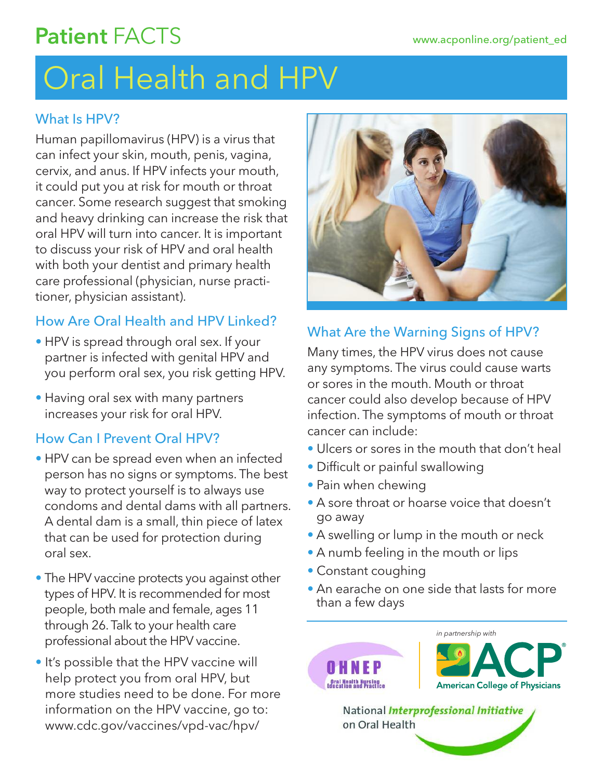# Patient FACTS

# Oral Health and HPV

### What Is HPV?

Human papillomavirus (HPV) is a virus that can infect your skin, mouth, penis, vagina, cervix, and anus. If HPV infects your mouth, it could put you at risk for mouth or throat cancer. Some research suggest that smoking and heavy drinking can increase the risk that oral HPV will turn into cancer. It is important to discuss your risk of HPV and oral health with both your dentist and primary health care professional (physician, nurse practitioner, physician assistant).

## How Are Oral Health and HPV Linked?

- HPV is spread through oral sex. If your partner is infected with genital HPV and you perform oral sex, you risk getting HPV.
- Having oral sex with many partners increases your risk for oral HPV.

### How Can I Prevent Oral HPV?

- HPV can be spread even when an infected person has no signs or symptoms. The best way to protect yourself is to always use condoms and dental dams with all partners. A dental dam is a small, thin piece of latex that can be used for protection during oral sex.
- The HPV vaccine protects you against other types of HPV. It is recommended for most people, both male and female, ages 11 through 26.Talk to your health care professional about the HPV vaccine.
- It's possible that the HPV vaccine will help protect you from oral HPV, but more studies need to be done. For more information on the HPV vaccine, go to: www.cdc.gov/vaccines/vpd-vac/hpv/



# What Are the Warning Signs of HPV?

Many times, the HPV virus does not cause any symptoms. The virus could cause warts or sores in the mouth. Mouth or throat cancer could also develop because of HPV infection. The symptoms of mouth or throat cancer can include:

- Ulcers or sores in the mouth that don't heal
- Difficult or painful swallowing
- Pain when chewing
- A sore throat or hoarse voice that doesn't go away
- A swelling or lump in the mouth or neck
- A numb feeling in the mouth or lips
- Constant coughing
- An earache on one side that lasts for more than a few days